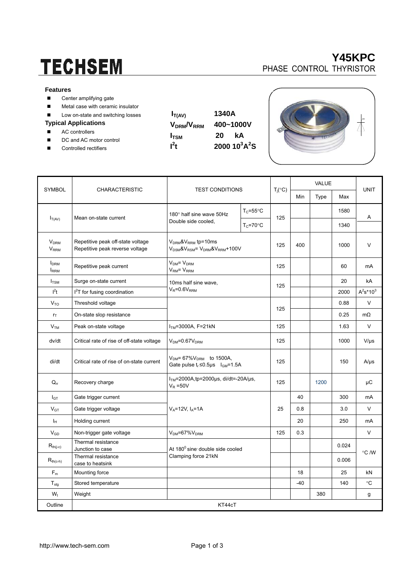# **TECHSEM**

#### **Features**

- Center amplifying gate
- **Metal case with ceramic insulator**
- Low on-state and switching losses

### **Typical Applications**

- AC controllers
- DC and AC motor control
- Controlled rectifiers

| $I_{T(AV)}$                        | 1340A<br>400~1000V           |  |  |  |
|------------------------------------|------------------------------|--|--|--|
| V <sub>DRM</sub> /V <sub>RRM</sub> |                              |  |  |  |
| <b>I</b> <sub>TSM</sub>            | 20.<br>kА                    |  |  |  |
| $I^2t$                             | 2000 $10^3$ A <sup>2</sup> S |  |  |  |
|                                    |                              |  |  |  |





| <b>SYMBOL</b>                                    |                                                                      | <b>TEST CONDITIONS</b>                                                                    |                     | $T_i({}^\circ C)$ | <b>VALUE</b> |      |       |              |  |
|--------------------------------------------------|----------------------------------------------------------------------|-------------------------------------------------------------------------------------------|---------------------|-------------------|--------------|------|-------|--------------|--|
|                                                  | <b>CHARACTERISTIC</b>                                                |                                                                                           |                     |                   | Min          | Type | Max   | <b>UNIT</b>  |  |
| $I_{T(AV)}$                                      | Mean on-state current                                                | 180° half sine wave 50Hz<br>Double side cooled,                                           | $T_c = 55^{\circ}C$ | 125               |              |      | 1580  | Α            |  |
|                                                  |                                                                      |                                                                                           | $T_c = 70$ °C       |                   |              |      | 1340  |              |  |
| <b>V<sub>DRM</sub></b><br><b>V<sub>RRM</sub></b> | Repetitive peak off-state voltage<br>Repetitive peak reverse voltage | $VDRM$ & $VRRM$ tp=10ms<br>$V_{DSM}$ & $V_{RSM}$ = $V_{DRM}$ & $V_{RRM}$ +100 $V$         |                     | 125               | 400          |      | 1000  | V            |  |
| <b>I</b> <sub>DRM</sub><br><b>IRRM</b>           | Repetitive peak current                                              | $VDM = VDRM$<br>V <sub>RM</sub> = V <sub>RRM</sub>                                        |                     | 125               |              |      | 60    | mA           |  |
| $I_{TSM}$                                        | Surge on-state current                                               | 10ms half sine wave,<br>$V_R = 0.6V_{RRM}$                                                |                     | 125               |              |      | 20    | kA           |  |
| I <sup>2</sup> t                                 | I <sup>2</sup> T for fusing coordination                             |                                                                                           |                     |                   |              |      | 2000  | $A^2s^*10^3$ |  |
| V <sub>TO</sub>                                  | Threshold voltage                                                    |                                                                                           |                     |                   |              |      | 0.88  | V            |  |
| $r_{\text{T}}$                                   | On-state slop resistance                                             |                                                                                           |                     | 125               |              |      | 0.25  | $m\Omega$    |  |
| V <sub>TM</sub>                                  | Peak on-state voltage                                                | $ITM=3000A, F=21kN$                                                                       |                     | 125               |              |      | 1.63  | $\vee$       |  |
| dv/dt                                            | Critical rate of rise of off-state voltage                           | $V_{DM} = 0.67 V_{DRM}$                                                                   |                     | 125               |              |      | 1000  | $V/\mu s$    |  |
| di/dt                                            | Critical rate of rise of on-state current                            | $V_{DM}$ = 67% $V_{DRM}$ to 1500A,<br>Gate pulse $t_r \le 0.5$ us $I_{\text{GM}} = 1.5$ A |                     | 125               |              |      | 150   | $A/\mu s$    |  |
| $Q_{rr}$                                         | Recovery charge                                                      | $ITM=2000A$ , tp=2000 $\mu$ s, di/dt=-20A/ $\mu$ s,<br>$V_R = 50V$                        |                     | 125               |              | 1200 |       | μC           |  |
| $I_{GT}$                                         | Gate trigger current                                                 | $V_A = 12V$ , $I_A = 1A$                                                                  |                     |                   | 40           |      | 300   | mA           |  |
| $V_{GT}$                                         | Gate trigger voltage                                                 |                                                                                           |                     | 25                | 0.8          |      | 3.0   | $\vee$       |  |
| Īн                                               | Holding current                                                      |                                                                                           |                     |                   | 20           |      | 250   | mA           |  |
| $V_{GD}$                                         | Non-trigger gate voltage                                             | $VDM=67%VDRM$                                                                             |                     | 125               | 0.3          |      |       | V            |  |
| $R_{\text{th}(j-c)}$                             | Thermal resistance<br>Junction to case                               | At 180 <sup>0</sup> sine double side cooled<br>Clamping force 21kN                        |                     |                   |              |      | 0.024 |              |  |
| $R_{th(c-h)}$                                    | Thermal resistance<br>case to heatsink                               |                                                                                           |                     |                   |              |      | 0.006 | °C /W        |  |
| $F_m$                                            | Mounting force                                                       |                                                                                           |                     |                   | 18           |      | 25    | kN           |  |
| $T_{\sf stq}$                                    | Stored temperature                                                   |                                                                                           |                     |                   | $-40$        |      | 140   | °C           |  |
| $W_t$                                            | Weight                                                               |                                                                                           |                     |                   |              | 380  |       | g            |  |
| Outline                                          | KT44cT                                                               |                                                                                           |                     |                   |              |      |       |              |  |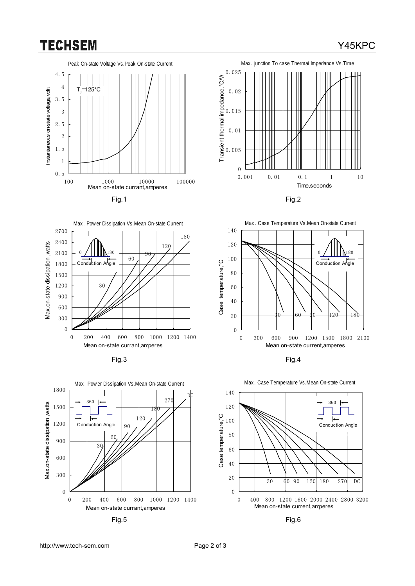## **TECHSEM**

## Y45KPC